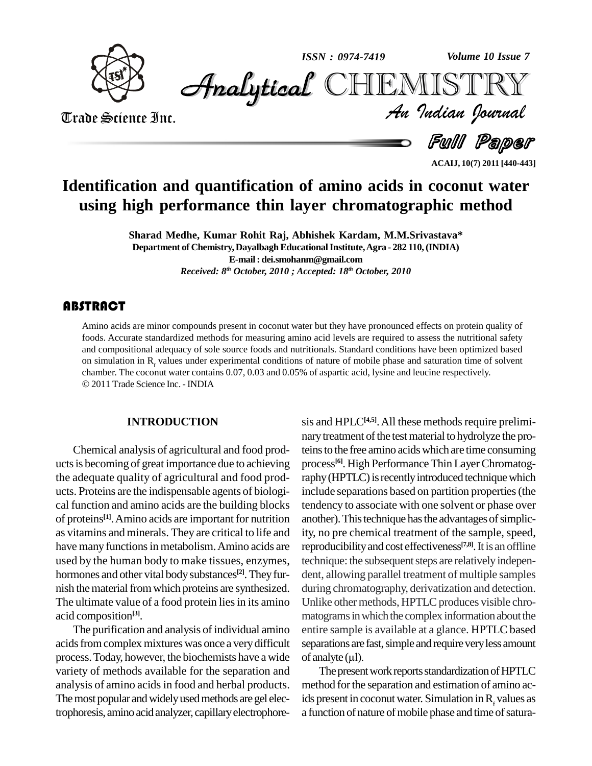

*ISSN : 0974-7419*

*Volume 10 Issue 7*

CHEMISTRY

Trade Science Inc. Trade Science Inc.

*Volume 10 Issue 7*<br>IISTRY<br>Indian Iournal

Full Paper

**ACAIJ, 10(7) 2011 [440-443]**

# **Identification and quantification of amino acids in coconut water using high performance thin layer chromatographic method**

**Sharad Medhe, Kumar Rohit Raj, Abhishek Kardam, M.M.Srivastava\* Department of Chemistry,DayalbaghEducationalInstitute,Agra - 282 110,(INDIA) E-mail: [dei.smohanm@gmail.com](mailto:dei.smohanm@gmail.com)** *Received: 8 th October, 2010 ; Accepted: 18 th October, 2010*

# **ABSTRACT**

Amino acids are minor c<br>foods. Accurate standard<br>and compositional adequ Amino acids are minor compounds present in coconut water but they have pronounced effects on protein quality of foods. Accurate standardized methods for measuring amino acid levels are required to assess the nutritional safety and compositional adequacy of sole source foods and nutritionals. Standard conditions have been optimized based on simulation in  $R_f$  values under experimental conditions of nature of mobile phase and saturation time of solvent chamber. The coconut water contains  $0.07, 0.03$  and  $0.05\%$  of aspartic acid, lysine and leucine respec 2011 Trade Science Inc. -INDIA

## **INTRODUCTION**

Chemical analysis of agricultural and food prod uctsis becoming of great importance due to achieving the adequate quality of agricultural and food prod ucts. Proteins are the indispensable agents of biologi cal function and amino acids are the building blocks of proteins<sup>[1]</sup>. Amino acids are important for nutrition another as vitamins and minerals. They are critical to life and have many functions in metabolism. Amino acids are used by the human body to make tissues, enzymes, hormones and other vital body substances<sup>[2]</sup>. They fur- den nish the material from which proteins are synthesized. The ultimate value of a food protein lies in its amino acid composition **[3]**.

The purification and analysis of individual amino acidsfromcomplex mixtures was once a verydifficult process. Today, however, the biochemists have a wide of analyte  $(\mu l)$ . variety of methods available for the separation and analysis of amino acidsin food and herbal products. The most popular and widely used methods are gel electrophoresis, amino acidanalyzer, capillaryelectrophore-

sis and HPLC<sup>[4,5]</sup>. All these methods require preliminary treatment of the test material to hydrolyze the proteinsto the free amino acidswhich are time consuming process **[6]**. High PerformanceThin LayerChromatography (HPTLC) is recently introduced technique which include separations based on partition properties(the tendency to associate with one solvent or phase over another). This technique has the advantages of simplicity, no pre chemical treatment of the sample, speed, reproducibilityand cost effectiveness **[7,8]**.It is an offline technique: the subsequent steps are relatively independent, allowing parallel treatment of multiple samples during chromatography, derivatization and detection. Unlike other methods, HPTLC produces visible chromatograms in which the complex information about the entire sample is available at a glance. HPTLC based<br>separations are fast, simple and require very less amount<br>of analyte (µl). separations are fast, simple and require very less amount

The present work reports standardization of HPTLC method forthe separation and estimation of amino acids present in coconut water. Simulation in  $R_f$  values as a function of nature of mobile phase and time of satura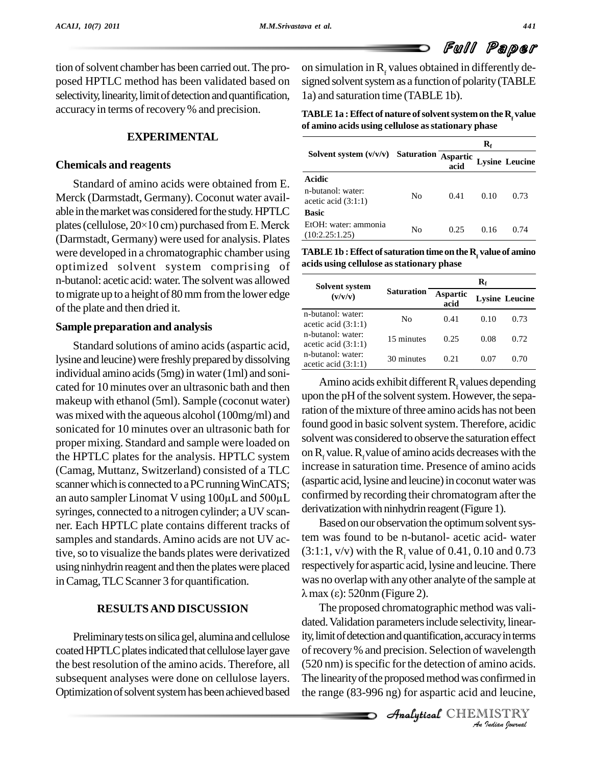tion of solvent chamber has been carried out. The proselectivity, linearity, limit of detection and quantification, accuracy in terms of recovery % and precision.

### **EXPERIMENTAL**

#### **Chemicals and reagents**

Standard of amino acids were obtained from E. Merck (Darmstadt, Germany). Coconut water avail able in themarketwas considered forthe study.HPTLC plates (cellulose,  $20\times10$  cm) purchased from E. Merck (Darmstadt, Germany) were used for analysis. Plates were developed in a chromatographic chamber using optimized solvent system comprising of n-butanol: acetic acid: water.The solventwas allowed tomigrate up to a height of 80mmfromthe lower edge of the plate and then dried it.

#### **Sample preparation and analysis**

Standard solutions of amino acids(aspartic acid, lysine and leucine) were freshly prepared by dissolving individual amino acids  $(5mg)$  in water  $(1ml)$  and sonicated for 10 minutes over an ultrasonic bath and then makeup with ethanol (5ml). Sample (coconut water) was mixed with the aqueous alcohol(100mg/ml) and sonicated for 10 minutes over an ultrasonic bath for proper mixing. Standard and sample were loaded on the HPTLC plates for the analysis. HPTLC system (Camag, Muttanz, Switzerland) consisted of a TLC increase in scanner which is connected to a PC running WinCATS; (aspartic a an auto sampler Linomat V using  $100\mu$ L and  $500\mu$ L confirmed scanner which is connected to a PC running WinCATS; syringes, connected to a nitrogen cylinder; a UV scan ner. Each HPTLC plate contains different tracks of samples and standards. Amino acids are not UV active, so to visualize the bands plates were derivatized using ninhydrin reagent and then the plates were placed in Camag, TLC Scanner 3 for quantification.

## **RESULTSAND DISCUSSION**

Preliminary tests on silica gel, alumina and cellulose coated HPTLC plates indicated that cellulose layer gave the best resolution of the amino acids. Therefore, all subsequent analyses were done on cellulose layers. Optimization of solvent system has been achieved based

posed HPTLC method has been validated based on on simulation in  $R<sub>f</sub>$  values obtained in differently de-1a) and saturation time (TABLE 1b).

> **TABLE1a :Effect of nature ofsolventsystemon the R<sup>f</sup> value of amino acids using cellulose asstationary phase**

|                                            |    | $\mathbf{R}_{\mathrm{f}}$ |      |                       |
|--------------------------------------------|----|---------------------------|------|-----------------------|
| Solvent system $(v/v/v)$ Saturation        |    | <b>Aspartic</b><br>acid   |      | <b>Lysine Leucine</b> |
| Acidic                                     |    |                           |      |                       |
| n-butanol: water:<br>acetic acid $(3:1:1)$ | No | 0.41                      | 0.10 | 0.73                  |
| <b>Basic</b>                               |    |                           |      |                       |
| EtOH: water: ammonia<br>(10:2.25:1.25)     | No | 0.25                      | 0.16 | 0.74                  |

**TABLE1b :Effect ofsaturation time on the R<sup>f</sup> valueof amino acids using cellulose asstationary phase**

| Solvent system<br>(v/v/v)                  |                   | $\mathbf{R}_{\mathrm{f}}$ |      |                       |
|--------------------------------------------|-------------------|---------------------------|------|-----------------------|
|                                            | <b>Saturation</b> | Aspartic<br>acid          |      | <b>Lysine Leucine</b> |
| n-butanol: water:<br>acetic acid $(3:1:1)$ | No                | 0.41                      | 0.10 | 0.73                  |
| n-butanol: water:<br>acetic acid $(3:1:1)$ | 15 minutes        | 0.25                      | 0.08 | 0.72                  |
| n-butanol: water:<br>acetic acid $(3:1:1)$ | 30 minutes        | 0.21                      | 0.07 | 0.70                  |

Amino acids exhibit different  $R_f$  values depending upon the pH of the solvent system. However, the separation of the mixture of three amino acids has not been found good in basic solvent system. Therefore, acidic solvent was considered to observe the saturation effect on  $R_f$  value.  $R_f$  value of amino acids decreases with the increase in saturation time. Presence of amino acids (aspartic acid, lysine and leucine) in coconut water was confirmed by recording their chromatogram after the derivatization with ninhydrin reagent (Figure 1).

Based on our observation the optimum solvent system was found to be n-butanol- acetic acid- water  $(3:1:1, v/v)$  with the R<sub>f</sub> value of 0.41, 0.10 and 0.73 respectively for aspartic acid, lysine and leucine. There<br>was no overlap with any other analyte of the sample at<br> $\lambda$  max (ɛ): 520nm (Figure 2). was no overlap with any other analyte of the sample at

*A<sub>n</sub>*, the covery % and precision. Selection of wavelength *Indian*<br>
Wavelength<br>
Indian deucine,<br>
ISTRY<br> *Indian Iournal* The proposed chromatographic method was validated. Validation parameters include selectivity, linearity, limit of detection and quantification, accuracy in terms (520 nm) isspecific for the detection of amino acids. The linearity of the proposed method was confirmed in the range (83-996 ng) for aspartic acid and leucine,

**Analytical** CHEMISTRY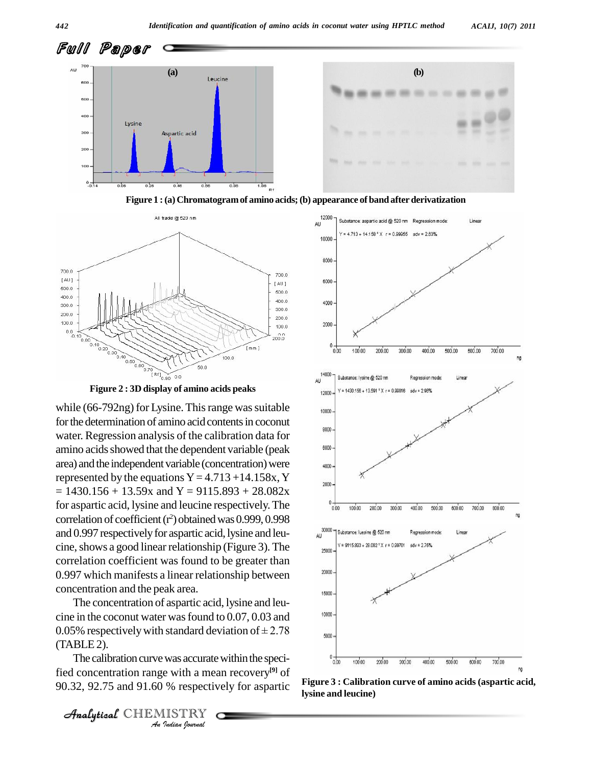



**Figure 1 :(a) Chromatogramof amino acids;(b) appearance of band after derivatization**



**Figure 2 : 3D display of amino acids peaks**

while  $(66-792ng)$  for Lysine. This range was suitable  $\frac{1}{10000}$ for the determination of amino acid contents in coconut water. Regression analysis of the calibration data for amino acids showed that the dependent variable (peak  $\frac{8000}{2}$ area) and the independent variable (concentration) were represented by the equations  $Y = 4.713 + 14.158x$ , Y  $= 1430.156 + 13.59x$  and Y = 9115.893 + 28.082x for aspartic acid, lysine and leucine respectively.The correlation of coefficient  $(r^2)$  obtained was 0.999, 0.998 and 0.997 respectivelyfor aspartic acid, lysine and leu cine, shows a good linear relationship (Figure 3). The correlation coefficient was found to be greater than 0.997 which manifests a linear relationship between concentration and the peak area.

 $(TABLE2)$ . The concentration of aspartic acid, lysine and leu cine in the coconut water wasfound to 0.07, 0.03 and The concentration of aspartic acid, lysine and leu-<br>cine in the coconut water was found to 0.07, 0.03 and<br>0.05% respectively with standard deviation of  $\pm$  2.78

**IVARE 8 AND ASSEM**<br> *I*STRY<br> *ISTRY* The calibration curve was accurate within the specified concentration range with a mean recovery **[9]** of 90.32, 92.75 and 91.60 % respectively for aspartic





**Figure 3 : Calibration curve of amino acids (aspartic acid, lysine and leucine)**